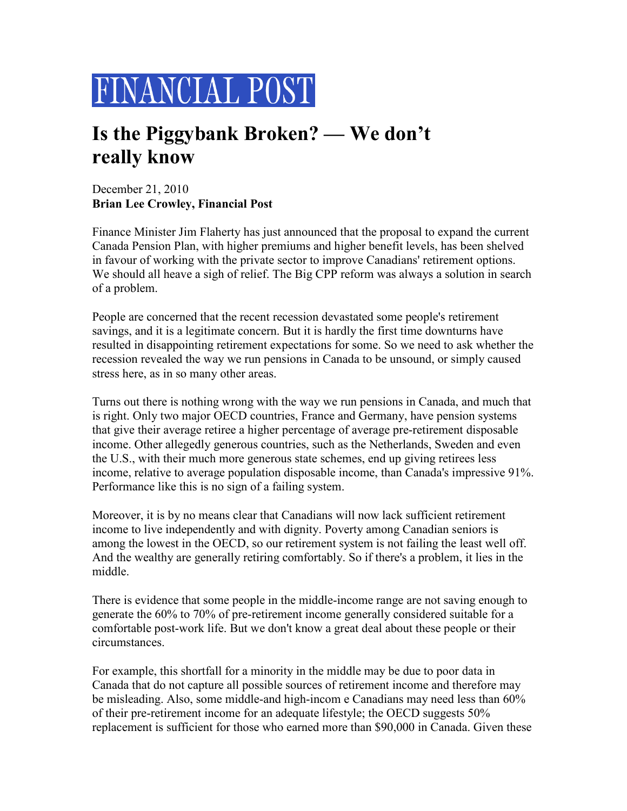

## **Is the Piggybank Broken? — We don't really know**

December 21, 2010 **Brian Lee Crowley, Financial Post**

Finance Minister Jim Flaherty has just announced that the proposal to expand the current Canada Pension Plan, with higher premiums and higher benefit levels, has been shelved in favour of working with the private sector to improve Canadians' retirement options. We should all heave a sigh of relief. The Big CPP reform was always a solution in search of a problem.

People are concerned that the recent recession devastated some people's retirement savings, and it is a legitimate concern. But it is hardly the first time downturns have resulted in disappointing retirement expectations for some. So we need to ask whether the recession revealed the way we run pensions in Canada to be unsound, or simply caused stress here, as in so many other areas.

Turns out there is nothing wrong with the way we run pensions in Canada, and much that is right. Only two major OECD countries, France and Germany, have pension systems that give their average retiree a higher percentage of average pre-retirement disposable income. Other allegedly generous countries, such as the Netherlands, Sweden and even the U.S., with their much more generous state schemes, end up giving retirees less income, relative to average population disposable income, than Canada's impressive 91%. Performance like this is no sign of a failing system.

Moreover, it is by no means clear that Canadians will now lack sufficient retirement income to live independently and with dignity. Poverty among Canadian seniors is among the lowest in the OECD, so our retirement system is not failing the least well off. And the wealthy are generally retiring comfortably. So if there's a problem, it lies in the middle.

There is evidence that some people in the middle-income range are not saving enough to generate the 60% to 70% of pre-retirement income generally considered suitable for a comfortable post-work life. But we don't know a great deal about these people or their circumstances.

For example, this shortfall for a minority in the middle may be due to poor data in Canada that do not capture all possible sources of retirement income and therefore may be misleading. Also, some middle-and high-incom e Canadians may need less than 60% of their pre-retirement income for an adequate lifestyle; the OECD suggests 50% replacement is sufficient for those who earned more than \$90,000 in Canada. Given these